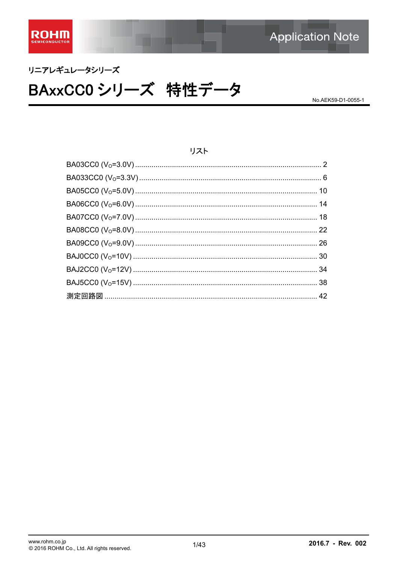

# リニアレギュレータシリーズ BAxxCC0シリーズ 特性データ

No.AEK59-D1-0055-1

#### リスト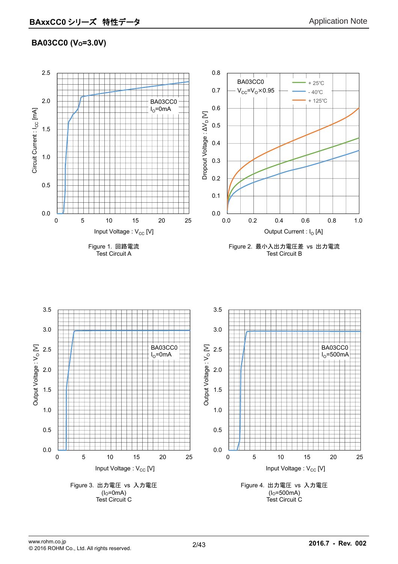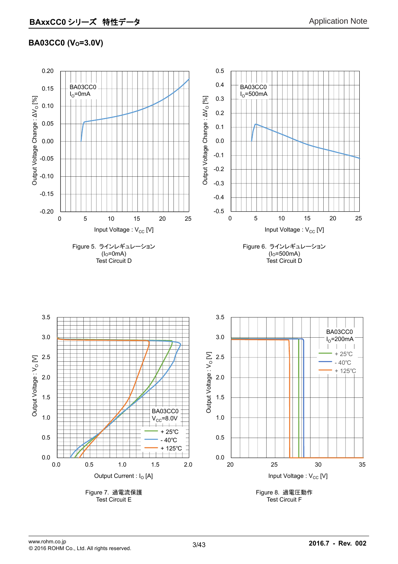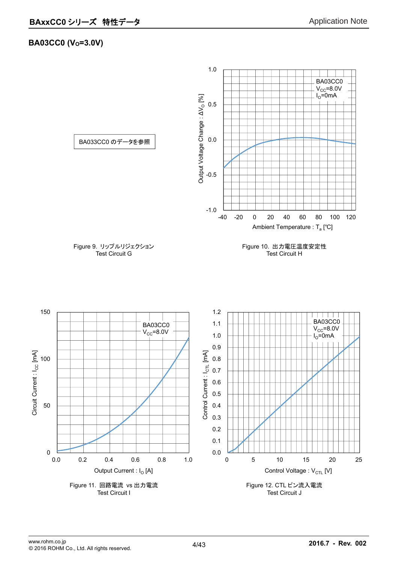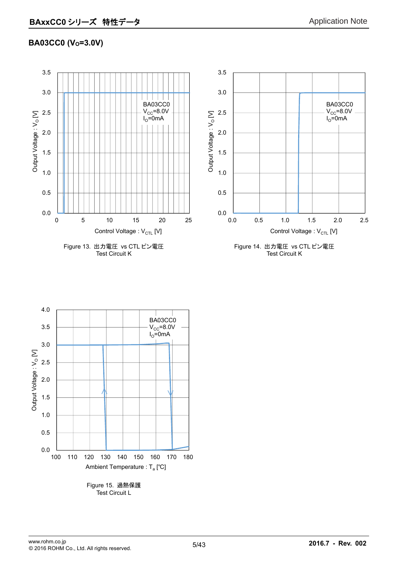

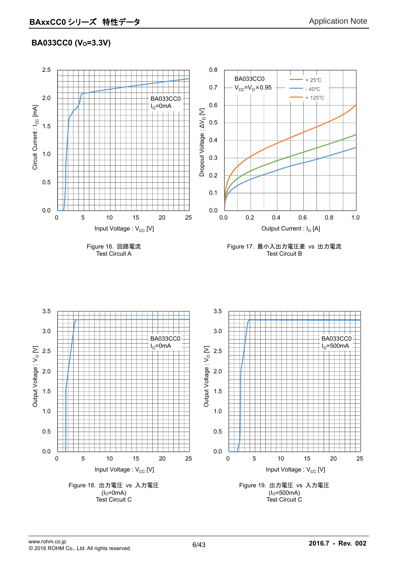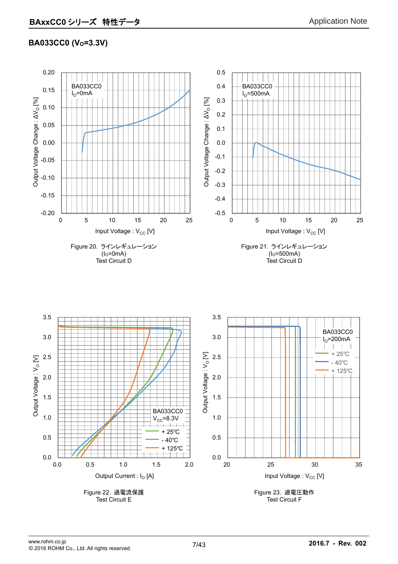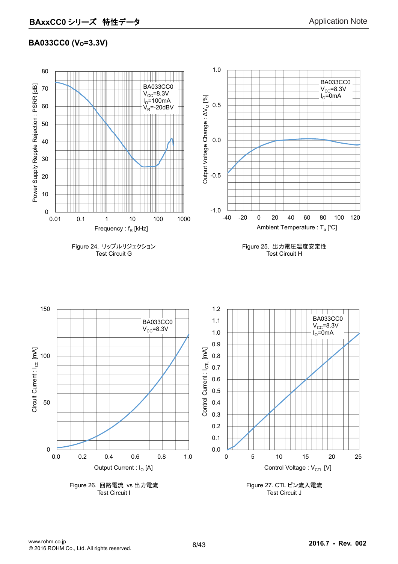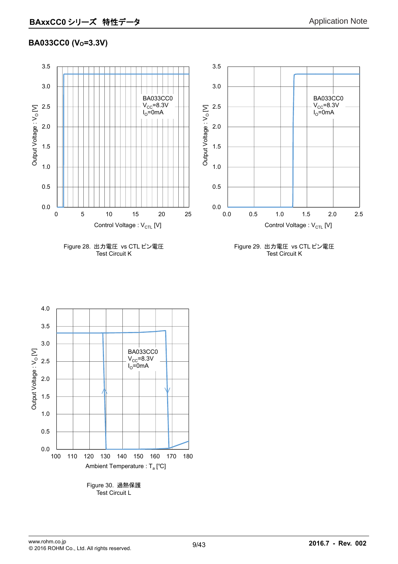

Figure 28. 出力電圧 vs CTL ピン電圧 Test Circuit K

Figure 29. 出力電圧 vs CTL ピン電圧 Test Circuit K



9/43 www.rohm.co.jp **2016.7 - Rev. 002** © 2016 ROHM Co., Ltd. All rights reserved.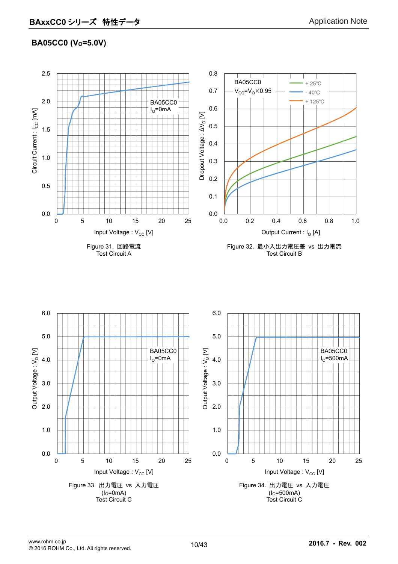# **BA05CC0 (Vo=5.0V)**

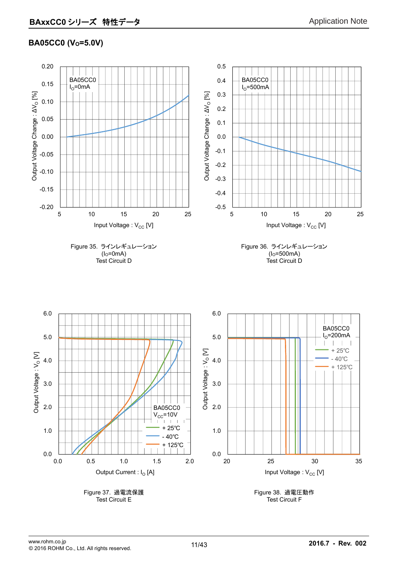### **BA05CC0 (V<sub>o</sub>=5.0V)**

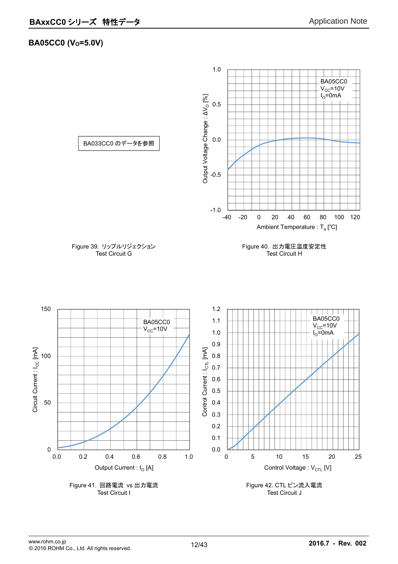#### **BA05CC0 (Vo=5.0V)**

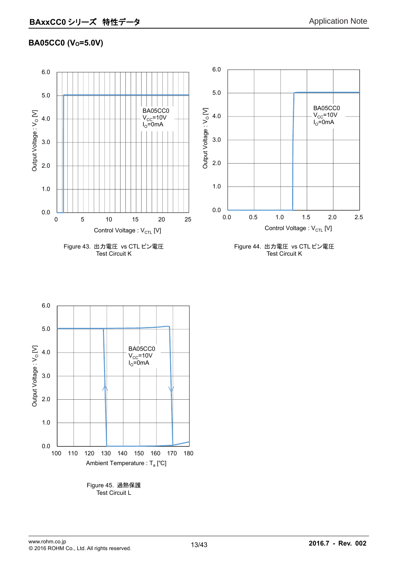# **BA05CC0 (Vo=5.0V)**



Test Circuit K





Test Circuit L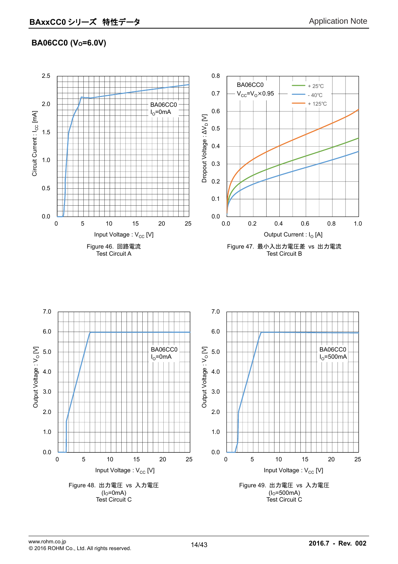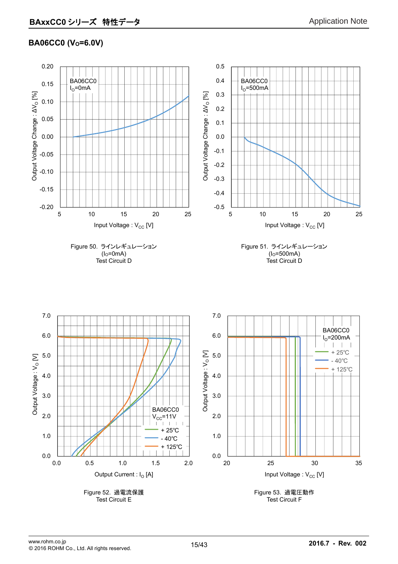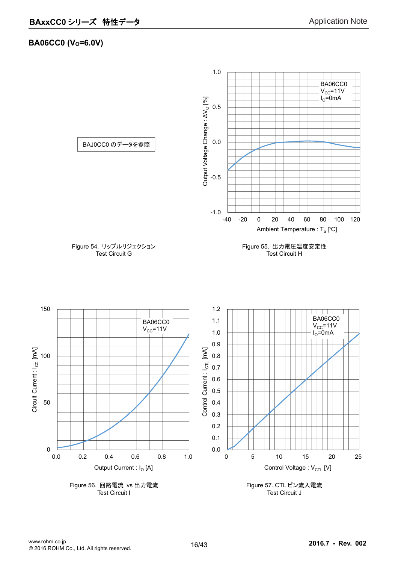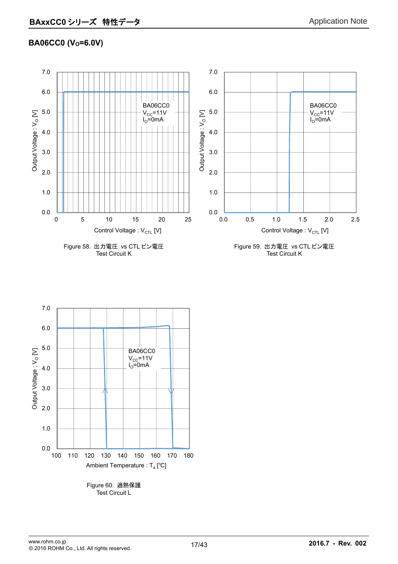



Test Circuit L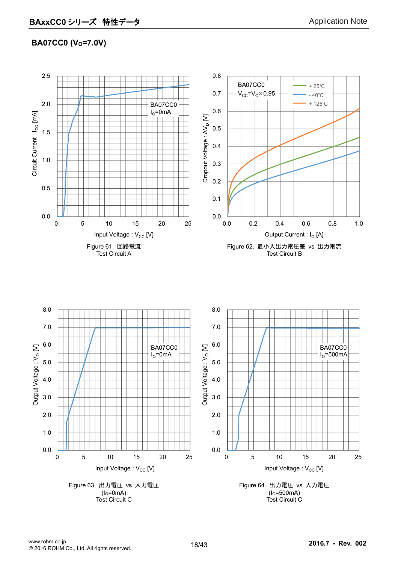# **BA07CC0 (V<sub>o</sub>=7.0V)**

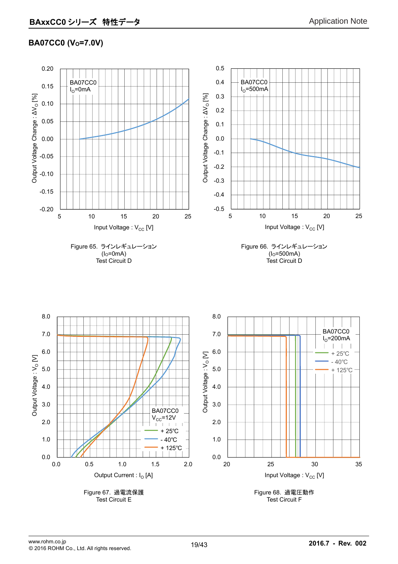# **BA07CC0 (V<sub>o</sub>=7.0V)**

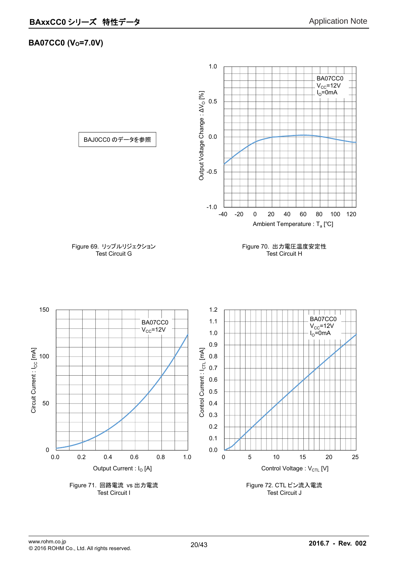#### **BA07CC0 (Vo=7.0V)**

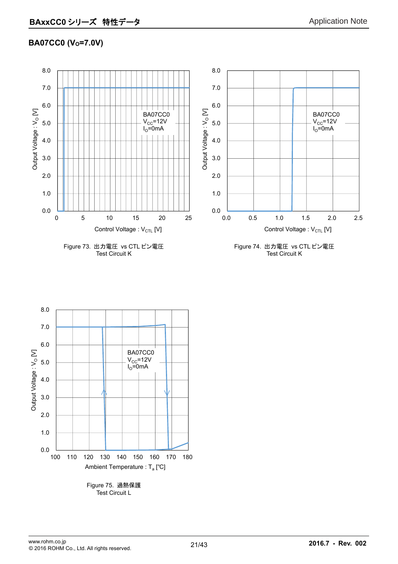# **BA07CC0 (Vo=7.0V)**



Test Circuit K

Test Circuit K

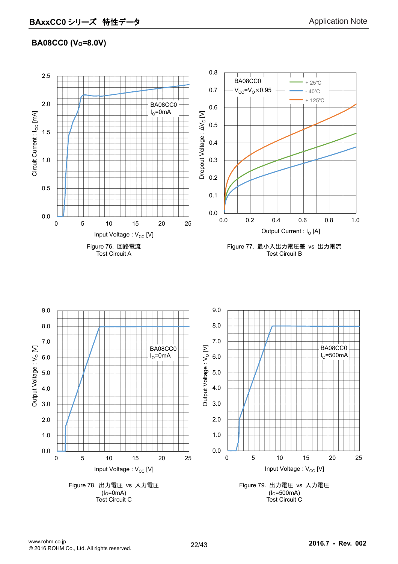# **BA08CC0 (Vo=8.0V)**

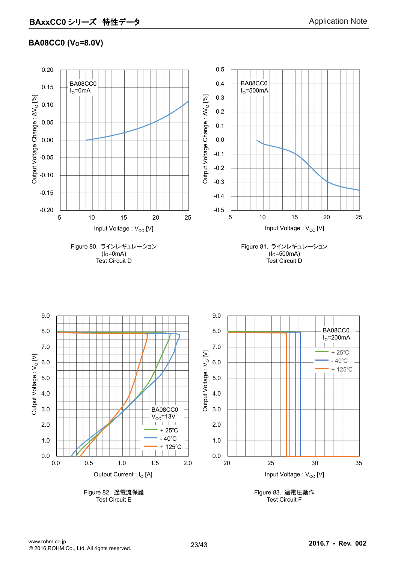### **BA08CC0 (V<sub>o</sub>=8.0V)**

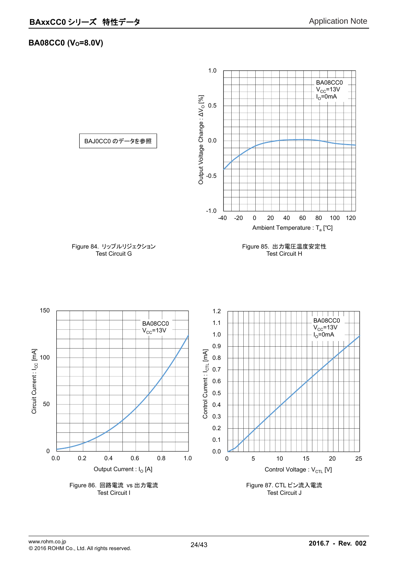#### **BA08CC0 (Vo=8.0V)**

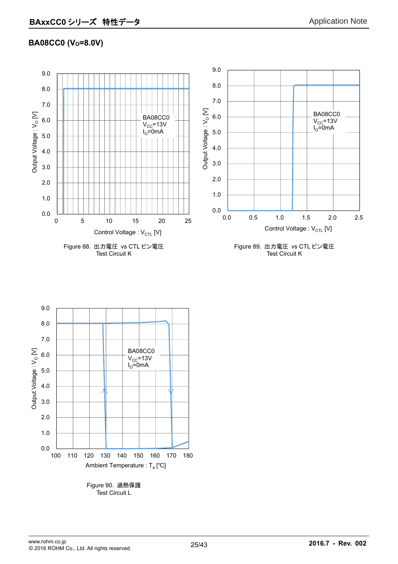# **BA08CC0 (Vo=8.0V)**





25/43 www.rohm.co.jp **2016.7 - Rev. 002** © 2016 ROHM Co., Ltd. All rights reserved.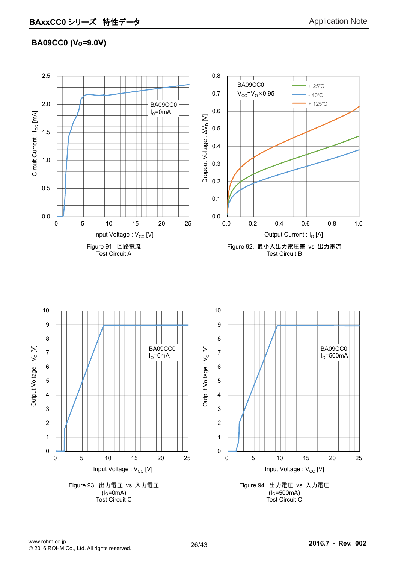# **BA09CC0 (V<sub>o</sub>=9.0V)**

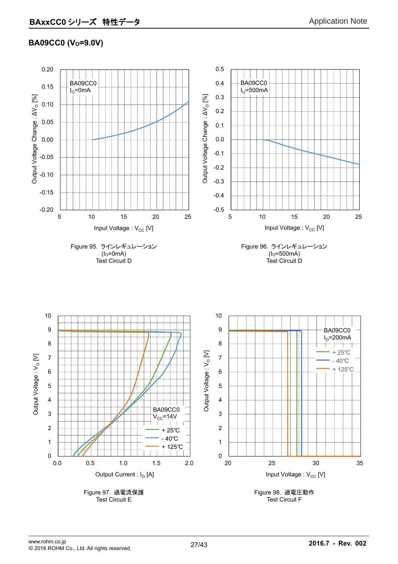# **BA09CC0 (Vo=9.0V)**

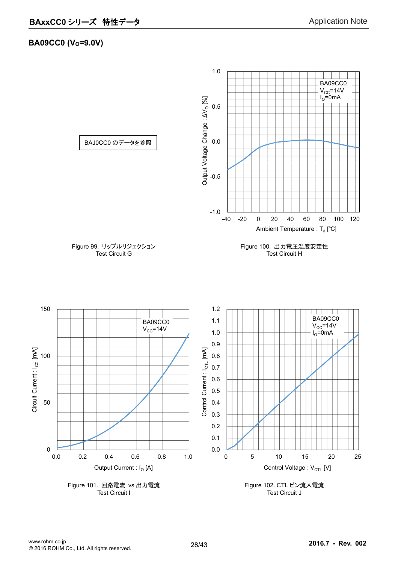#### **BA09CC0 (Vo=9.0V)**

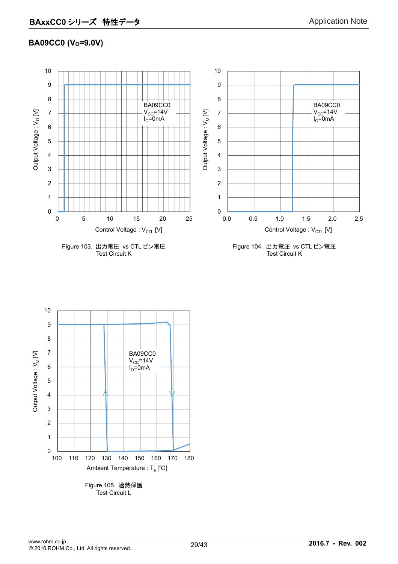# **BA09CC0 (Vo=9.0V)**





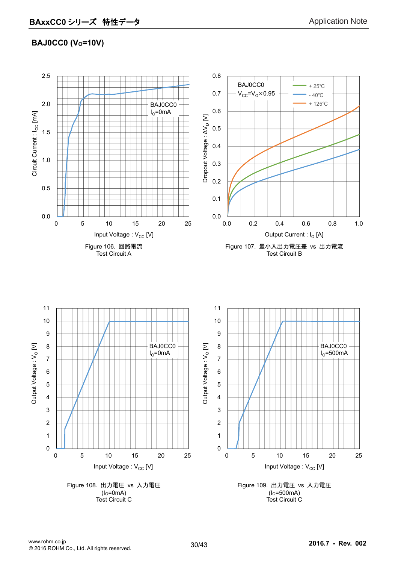# **BAJ0CC0 (Vo=10V)**

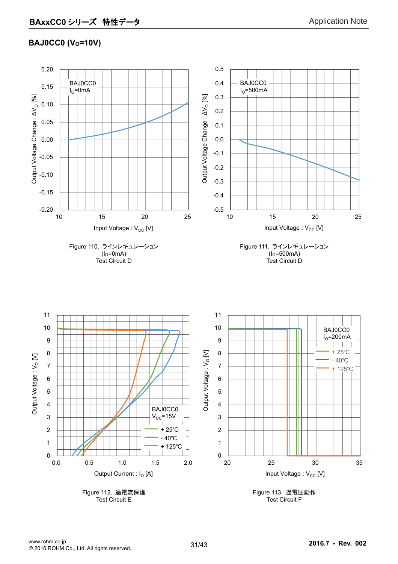### **BAJ0CC0 (V<sub>o</sub>=10V)**

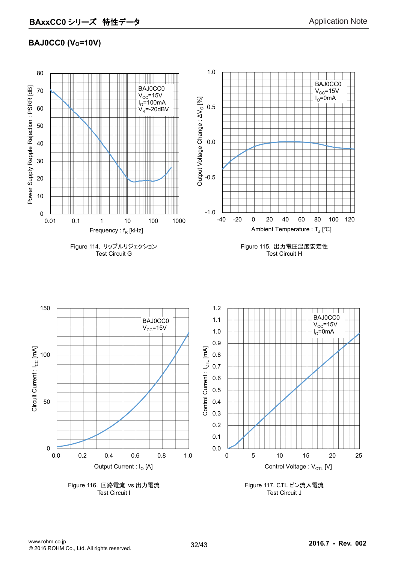# **BAJ0CC0 (Vo=10V)**

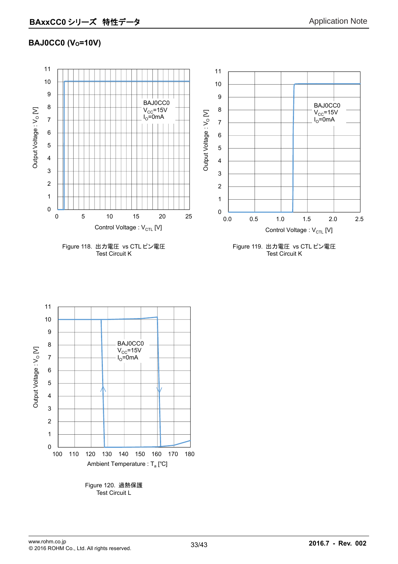# **BAJ0CC0 (Vo=10V)**





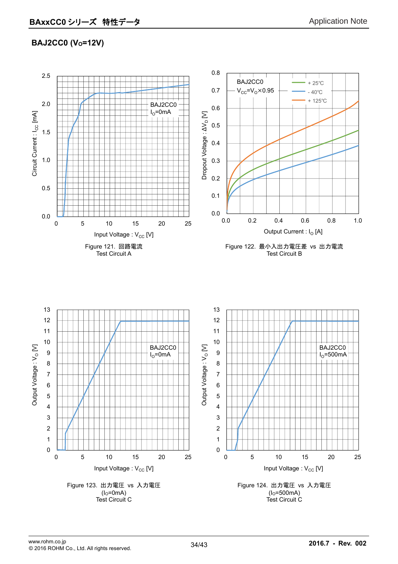# **BAJ2CC0 (V<sub>o</sub>=12V)**

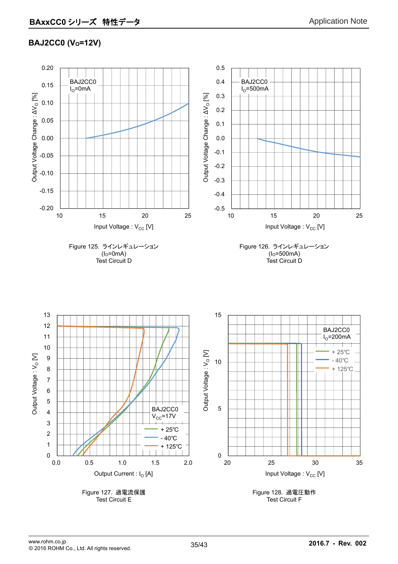# **BAJ2CC0 (Vo=12V)**

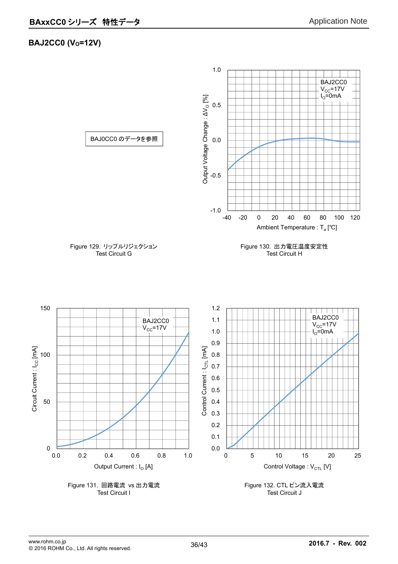# **BAJ2CC0 (Vo=12V)**

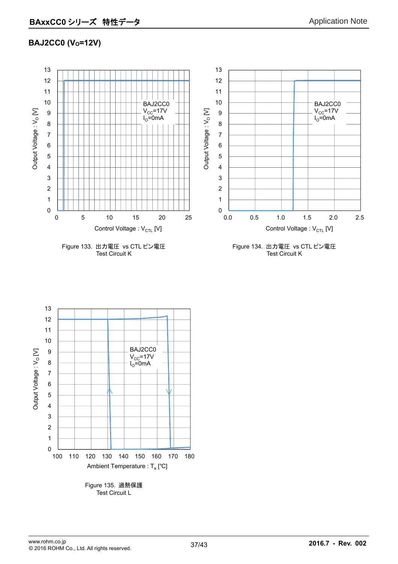# **BAJ2CC0 (Vo=12V)**



Test Circuit K

Figure 134. 出力電圧 vs CTL ピン電圧 Test Circuit K



Test Circuit L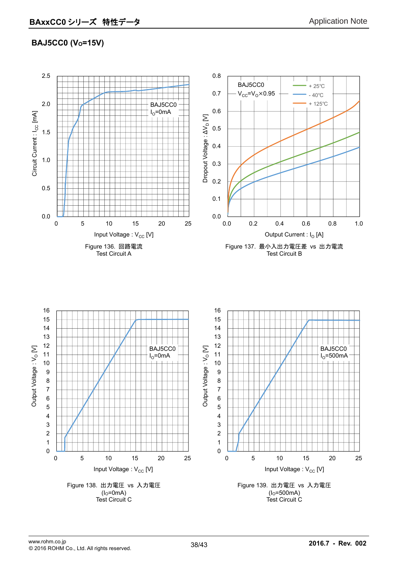# **BAJ5CC0 (Vo=15V)**

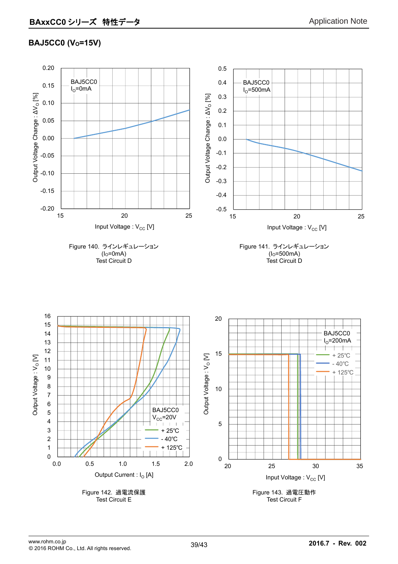# **BAJ5CC0 (V<sub>o</sub>=15V)**

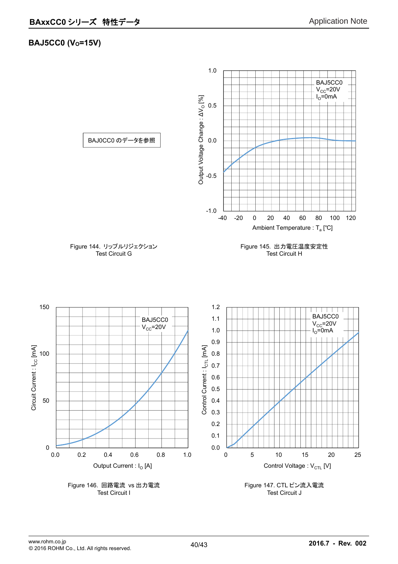#### **BAJ5CC0 (Vo=15V)**

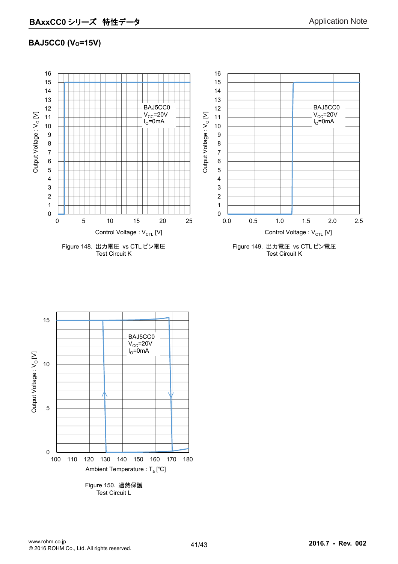### **BAJ5CC0 (Vo=15V)**





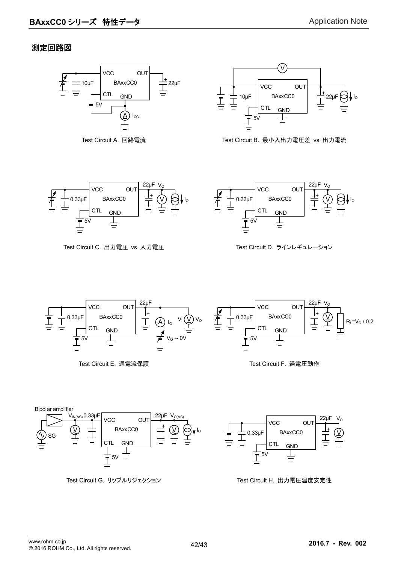#### 測定回路図





Test Circuit A. 回路電流 Test Circuit B. 最小入出力電圧差 vs 出力電流



Test Circuit C. 出力電圧 vs 入力電圧 <br>
Test Circuit D. ラインレギュレーション









Test Circuit G. リップルリジェクション Test Circuit H. 出力電圧温度安定性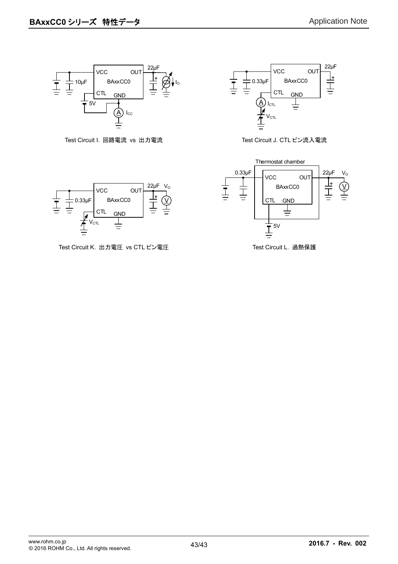

Test Circuit I. 回路電流 vs 出力電流 <br>
Test Circuit J. CTL ピン流入電流





Test Circuit K. 出力電圧 vs CTL ピン電圧 インストリック Test Circuit L. 過熱保護